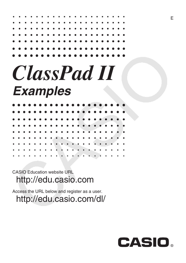| . |  |  |  |  |  |  |  |  |  |  |
|---|--|--|--|--|--|--|--|--|--|--|
| . |  |  |  |  |  |  |  |  |  |  |
| . |  |  |  |  |  |  |  |  |  |  |
| . |  |  |  |  |  |  |  |  |  |  |
| . |  |  |  |  |  |  |  |  |  |  |
| . |  |  |  |  |  |  |  |  |  |  |
| . |  |  |  |  |  |  |  |  |  |  |
|   |  |  |  |  |  |  |  |  |  |  |

# *ClassPad II Examples*

|           |                                     |  |  |  |  |  |  |  |   | .                   |  |
|-----------|-------------------------------------|--|--|--|--|--|--|--|---|---------------------|--|
|           |                                     |  |  |  |  |  |  |  |   | .                   |  |
|           |                                     |  |  |  |  |  |  |  |   | .                   |  |
|           |                                     |  |  |  |  |  |  |  |   | .                   |  |
|           |                                     |  |  |  |  |  |  |  |   | .                   |  |
|           |                                     |  |  |  |  |  |  |  |   | .                   |  |
|           |                                     |  |  |  |  |  |  |  |   | .                   |  |
|           | $\bullet\qquad\bullet\qquad\bullet$ |  |  |  |  |  |  |  | . | $\bullet$ $\bullet$ |  |
| $\bullet$ |                                     |  |  |  |  |  |  |  |   |                     |  |

CASIO Education website URL <http://edu.casio.com>

Access the URL below and register as a user. <http://edu.casio.com/dl/>

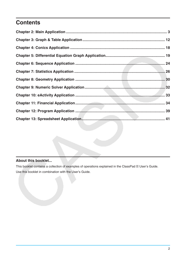### **Contents**

### **About this booklet...**

This booklet contains a collection of examples of operations explained in the ClassPad II User's Guide. Use this booklet in combination with the User's Guide.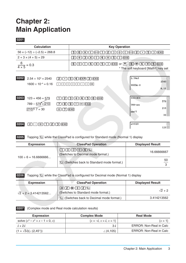### <span id="page-2-0"></span>**Chapter 2: Main Application**

### **0201**

| <b>Calculation</b>                                                                                                         | <b>Key Operation</b>                                                                                                                                                                                                                               |
|----------------------------------------------------------------------------------------------------------------------------|----------------------------------------------------------------------------------------------------------------------------------------------------------------------------------------------------------------------------------------------------|
| $56 \times (-12) \div (-2.5) = 268.8$                                                                                      | $\vert$ 5<br>[ 6 ]<br>$\boxed{2}$<br>$\overline{5}$<br>EXE<br>$\div$<br>$\times$<br>ੁ≥ੁ<br>$(-)$<br>$ (-) $<br>$\bullet$<br>I) I<br>$\sqrt{2}$                                                                                                     |
| $2 + 3 \times (4 + 5) = 29$                                                                                                | $\boxed{5}$<br>) $]$ [EXE]<br>$\sqrt{4}$<br>$[+]$<br>3<br>  X  <br>$\overline{z}$<br><u>، ج</u> ،                                                                                                                                                  |
| $\frac{6}{4 \times 5} = 0.3$                                                                                               | $\boxed{\text{X}}$ $\boxed{\text{5}}$ $\boxed{\text{)}}$ (EXE) or $\boxed{\text{s}}^*$ (G) $\textcircled{\text{s}}$ (4) (X) (5) (EXE)<br>$\left[\div\right]$<br>$\lceil 6 \rceil$<br>$\sqrt{4}$<br>* The soft keyboard [Math1] key set             |
| 0202<br>$2.54 \times 10^3 = 2540$<br>1 Z I<br>$\bullet$<br>$1600 \times 10^{-4} = 0.16$<br>$6\phantom{.0}$<br><sup>1</sup> | 2.54E3<br>5<br>$[4]$ $[EXP]$<br>[EXE]<br>$(\overline{3})$<br>2540<br>$ $ EXE<br>$\mathbf{0}$<br>$\mathbf E$<br>$\bf{0}$<br>4 <br>-<br>1600 <sub>E</sub> -4<br>0.16                                                                                 |
| 0203<br>$123 + 456 = 579$<br>-2,<br>$789 - 579 = 210$<br>8<br>$\boxed{210}$ ÷ 7 = 30<br>÷                                  | 123+456<br>$\boxed{6}$ $\boxed{EXE}$<br>$(\overline{5})$<br>3<br>$\left( \frac{1}{2} \right)$<br>$\pm$<br>579<br>$\left  \text{ans} \right $ $\left[ \text{EXE} \right]$<br>$\boxed{9}$<br>—<br>1789–ans<br>210<br>$(7)$ $EXE$<br>$\sqrt{7}$<br>30 |
| $\lfloor 3 \rfloor$<br>$\mathcal{X}$<br><u>( 5 )</u><br>[EXE]<br>ΞI<br>111                                                 | $\mathbf{x}$ = 123<br>123                                                                                                                                                                                                                          |

**0205** Tapping  $\left[\frac{m_1}{m_2}\right]$  while the ClassPad is configured for Standard mode (Normal 1) display

| <b>Expression</b>         | <b>ClassPad Operation</b>                                                                                                                                                                                                                                                                                                                                                                                                               | <b>Displayed Result</b> |
|---------------------------|-----------------------------------------------------------------------------------------------------------------------------------------------------------------------------------------------------------------------------------------------------------------------------------------------------------------------------------------------------------------------------------------------------------------------------------------|-------------------------|
|                           | $\textcolor{red}{\text{[1]}} \text{[0]}} \text{[2]}} \text{[3]}} \text{[4]}} \text{[4]}} \text{[5]}} \text{[6]}} \text{[6]}} \text{[7]}} \text{[6]}} \text{[7]}} \text{[7]}} \text{[8]}} \text{[7]}} \text{[8]}} \text{[8]}} \text{[8]}} \text{[8]}} \text{[8]}} \text{[8]}} \text{[8]}} \text{[8]}} \text{[8]}} \text{[8]}} \text{[8]}} \text{[8]}} \text{[8]}} \text{[8]}} \text{[8]}} \text{[$<br>(Switches to Decimal mode format.) | 16.66666667             |
| $100 \div 6 = 16.6666666$ | $\left[\frac{15}{42}\right]$ (Switches back to Standard mode format.)                                                                                                                                                                                                                                                                                                                                                                   | 50                      |

**0206** Tapping  $\frac{u_{12}}{2}$  while the ClassPad is configured for Decimal mode (Normal 1) display

| <b>Expression</b>            | <b>ClassPad Operation</b>                                    | <b>Displayed Result</b> |
|------------------------------|--------------------------------------------------------------|-------------------------|
| $\sqrt{2} + 2 = 3.414213562$ | $\boxed{1}$<br>(Switches to Standard mode format.)           | $\sqrt{2}$ + 2          |
|                              | $\frac{[15.1]}{k_2}$ (Switches back to Decimal mode format.) | 3.414213562             |

 **0207** (Complex mode and Real mode calculation results)

| <b>Expression</b>                         | <b>Complex Mode</b>        | <b>Real Mode</b>        |
|-------------------------------------------|----------------------------|-------------------------|
| solve $(x^3 - x^2 + x - 1 = 0, x)$        | $\{x = -i, x = i, x = 1\}$ | $\{x = 1\}$             |
| $i + 2i$                                  | $3\cdot i$                 | ERROR: Non-Real in Calc |
| $(1 + \sqrt{3}i)(\angle (2, 45^{\circ}))$ | $\angle$ (4,105)           | ERROR: Non-Real in Calc |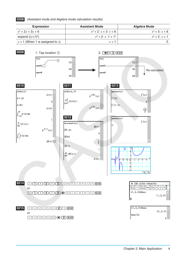### **0208** (Assistant mode and Algebra mode calculation results)

| <b>Expression</b>                 | <b>Assistant Mode</b>             | Algebra Mode          |
|-----------------------------------|-----------------------------------|-----------------------|
| $x^2 + 2x + 3x + 6$               | $x^2 + 2 \cdot x + 3 \cdot x + 6$ | $x^2 + 5 \cdot x + 6$ |
| expand $((x+1)^2)$                | $x^2 + 2 \cdot x \cdot 1 + 1^2$   | $x^2 + 2 \cdot x + 1$ |
| $x + 1$ (When 1 is assigned to x) | $x + 7$                           |                       |



**0215 1 i s t a [2 ] EXE** or

 $\boxed{1}$   $\boxed{1}$   $\boxed{1}$   $\boxed{1}$   $\boxed{2}$   $\boxed{1}$   $\boxed{3}$   $\boxed{1}$   $\boxed{4}$   $\boxed{1}$   $\boxed{6}$   $\boxed{2}$   $\boxed{EXE}$ 

 $\{1, 2, 3\}$  >lista  ${1, 2, 3}$ lista[2]  $\bf{2}$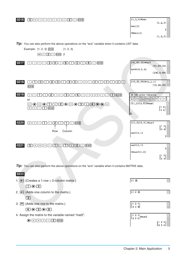

*Tip:* You can also perform the above operations on the "ans" variable when it contains MATRIX data.

| 0222                                                       |                                                                           |                                           |
|------------------------------------------------------------|---------------------------------------------------------------------------|-------------------------------------------|
| 1. $\boxed{1}$ (Creates a 1-row $\times$ 2-column matrix.) | $\begin{bmatrix} 1 & 2 \end{bmatrix}$                                     |                                           |
| $\square$ $\odot$ $\square$                                |                                                                           |                                           |
| 2. [10] (Adds one column to the matrix.)                   | $\begin{bmatrix} 1 & 2 & 3 \end{bmatrix}$                                 |                                           |
| $\overline{\mathbf{3}}$                                    |                                                                           |                                           |
| 3. $\boxed{\equiv}$ (Adds one row to the matrix.)          | $\begin{bmatrix} 1 & 2 & 3 \\ 4 & 5 & 6 \end{bmatrix}$                    |                                           |
| 9 ◎ 9 ◎ 9 □                                                |                                                                           |                                           |
| 4. Assign the matrix to the variable named "mat2".         | $\begin{bmatrix} 1 & 2 & 3 \\ 4 & 5 & 6 \end{bmatrix}$ $\Rightarrow$ mat2 |                                           |
| lexel                                                      |                                                                           | $\begin{bmatrix} 1 & 2 & 3 \end{bmatrix}$ |
|                                                            |                                                                           | 4 5                                       |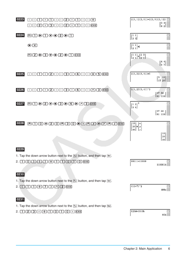| 0223 | $+1$<br>2<br>J<br>,<br>,<br>1<br>ExE<br>[2]<br>$\boxed{3}$<br>$\boxed{2}$<br>$\mathbb{L}$<br>$\overline{\phantom{a}}$<br>$\mathbf{r}$<br>-1<br>$\mathsf{L}$<br>$\,$<br>1<br>J.                                                                                                                                                                                                                                                                                                                                                                                                                                                               | $[1, 1] [2, 1] ] + [2, 3] [2, 1] ]$                                                                                                                               | $\left[ \begin{smallmatrix} 3 & 4 \\ 4 & 2 \end{smallmatrix} \right]$                     |
|------|----------------------------------------------------------------------------------------------------------------------------------------------------------------------------------------------------------------------------------------------------------------------------------------------------------------------------------------------------------------------------------------------------------------------------------------------------------------------------------------------------------------------------------------------------------------------------------------------------------------------------------------------|-------------------------------------------------------------------------------------------------------------------------------------------------------------------|-------------------------------------------------------------------------------------------|
| 0224 | <b>HI⊙I⊙⊙2⊙I</b>                                                                                                                                                                                                                                                                                                                                                                                                                                                                                                                                                                                                                             | $\left[\begin{bmatrix} 1 & 1 \\ 2 & 1 \end{bmatrix}\right]$                                                                                                       |                                                                                           |
|      | $\bigcirc$                                                                                                                                                                                                                                                                                                                                                                                                                                                                                                                                                                                                                                   | $\begin{bmatrix} 1 & 1 \\ 2 & 1 \end{bmatrix}$ x                                                                                                                  |                                                                                           |
|      | <b>BEO⊙E⊙⊙ED</b> DEXE                                                                                                                                                                                                                                                                                                                                                                                                                                                                                                                                                                                                                        | $\begin{bmatrix} 1 & 1 \\ 2 & 1 \end{bmatrix} \times \begin{bmatrix} 2 & 3 \\ 2 & 1 \end{bmatrix}$                                                                | $\left[ \begin{smallmatrix} 4 & 4 \\[1mm] 6 & 7 \end{smallmatrix} \right]$                |
| 0225 | ඳ<br>$\lceil \cdot \rceil$ [4] $\lceil \cdot \rceil$<br>$\boxed{X}$ $\boxed{5}$ $\boxed{EXE}$<br>$\lceil 3 \rceil$<br>$\bullet$<br>$\mathbf{1}$<br>$\mathbf{I}$<br>$\mathsf{L}$<br>L<br>$\mathbb{L}$                                                                                                                                                                                                                                                                                                                                                                                                                                         | $[[1, 2][3, 4]]\times 5$                                                                                                                                          | $\left[ \begin{smallmatrix} 5 & 10 \\ 15 & 20 \end{smallmatrix} \right]$                  |
| 0226 | $\Box$ $\Box$ $\Box$<br>$\Box$ 3 EXE<br>$\Box$<br>$\lceil$<br>$\mathbb{E}$                                                                                                                                                                                                                                                                                                                                                                                                                                                                                                                                                                   | $[1, 2]$ $[3, 4]$ $]$ <sup>-3</sup>                                                                                                                               | $[37 \t54$<br>$\left\lfloor \begin{smallmatrix} 81 & 118 \end{smallmatrix} \right\rfloor$ |
| 0227 | <b>HIDEOODDADFBEXE</b>                                                                                                                                                                                                                                                                                                                                                                                                                                                                                                                                                                                                                       | $\left[ \begin{smallmatrix} 1 & 2 \\ 3 & 4 \end{smallmatrix} \right]^3$                                                                                           | $\begin{bmatrix} 37 & 54 \end{bmatrix}$<br>81 118                                         |
| 0228 | $\textcolor{blue}{\textcolor{blue}{\blacksquare}} \textcolor{blue}{\blacksquare} \textcolor{blue}{\blacksquare} \textcolor{blue}{\lozenge} \textcolor{blue}{\blacksquare} \textcolor{blue}{\blacksquare} \textcolor{blue}{\blacksquare} \textcolor{blue}{\blacksquare} \textcolor{blue}{\blacksquare} \textcolor{blue}{\blacksquare} \textcolor{blue}{\blacksquare} \textcolor{blue}{\blacksquare} \textcolor{blue}{\blacksquare} \textcolor{blue}{\blacksquare} \textcolor{blue}{\blacksquare} \textcolor{blue}{\blacksquare} \textcolor{blue}{\blacksquare} \textcolor{blue}{\blacksquare} \textcolor{blue}{\blacksquare} \textcolor{blue$ | $\begin{bmatrix} 10 \\ 20 \end{bmatrix}$ $\rightarrow$ $\begin{bmatrix} x \\ y \end{bmatrix}$<br>$\left \lfloor{30}\right \rfloor \left \lfloor{z}\right \rfloor$ | [10]<br>20<br>30                                                                          |
| 0229 | 1. Tap the down arrow button next to the $\frac{f_{\text{max}}}{f}$ button, and then tap $\frac{f_{\text{Bin}}}{f}$                                                                                                                                                                                                                                                                                                                                                                                                                                                                                                                          |                                                                                                                                                                   |                                                                                           |
|      | $2. \hspace{1.5cm} \fbox{1.6cm} \fbox{1.6cm} \fbox{1.6cm} \fbox{1.6cm} \fbox{1.6cm} \fbox{1.6cm} \fbox{1.6cm} \fbox{1.6cm} \fbox{1.6cm} \fbox{1.6cm} \fbox{1.6cm} \fbox{1.6cm} \fbox{1.6cm} \fbox{1.6cm} \fbox{1.6cm} \fbox{1.6cm} \fbox{1.6cm} \fbox{1.6cm} \fbox{1.6cm} \fbox{1.6cm} \fbox{1.6cm} \fbox{1.6cm} \fbox{1.6cm} \f$                                                                                                                                                                                                                                                                                                            | 10111+11010                                                                                                                                                       | 110001b                                                                                   |
| 0230 | 1. Tap the down arrow button next to the $\frac{f_{\text{max}}}{f}$ button, and then tap [0et].                                                                                                                                                                                                                                                                                                                                                                                                                                                                                                                                              | $(11+7)^2$                                                                                                                                                        | 400 <sub>o</sub>                                                                          |
| 0231 | 1. Tap the down arrow button next to the $\frac{f_{\text{max}}}{f}$ button, and then tap Hex.                                                                                                                                                                                                                                                                                                                                                                                                                                                                                                                                                | 123d+1010b                                                                                                                                                        | 85h                                                                                       |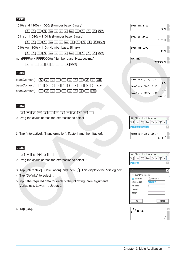| 1010 $_2$ and 1100 $_2$ = 1000 $_2$ (Number base: Binary)                                                                                                                         |
|-----------------------------------------------------------------------------------------------------------------------------------------------------------------------------------|
| $\boxed{1}$ $\boxed{0}$ $\boxed{1}$ $\boxed{0}$ $\boxed{$ Space $\boxed{a}$ $\boxed{n}$ $\boxed{d}$ $\boxed{$ Space $\boxed{1}$ $\boxed{1}$ $\boxed{0}$ $\boxed{0}$ $\boxed{EXE}$ |
| 1011 <sub>2</sub> or 11010 <sub>2</sub> = 11011 <sub>2</sub> (Number base: Binary)                                                                                                |
|                                                                                                                                                                                   |
| 1010 $_2$ xor 1100 $_2$ = 110 $_2$ (Number base: Binary)                                                                                                                          |
| $\boxed{1}\boxed{0}\boxed{1}\boxed{0}\boxed{3}$                                                                                                                                   |
| not (FFFF <sub>16</sub> ) = FFFF0000 <sub>16</sub> (Number base: Hexadecimal)                                                                                                     |
| $\boxed{\circ$ $\boxed{t}$ $\boxed{f}$ $f$ $f$ $f$ $\boxed{f}$ $\boxed{f}$ $\boxed{f}$ $\boxed{f}$ $\boxed{f}$ $\boxed{f}$                                                        |
|                                                                                                                                                                                   |

### **0233**

| baseConvert( $5799 \cdot 157$ ]                                                                                                      |
|--------------------------------------------------------------------------------------------------------------------------------------|
|                                                                                                                                      |
| baseConvert( $\boxed{1}$ $\boxed{2}$ $\boxed{3}$ $\boxed{1}$ $\boxed{6}$ $\boxed{1}$ $\boxed{3}$ $\boxed{1}$ $\boxed{2}$ $\boxed{3}$ |

### **0234**

### $1. (x) \bigcap (3) \bigcap (3) (x) \bigcap (2) \bigoplus (3) (x) \bigcap (1)$

- 2. Drag the stylus across the expression to select it.
- 3. Tap [Interactive], [Transformation], [factor], and then [factor].

### **0235**

- 1.  $\boxed{x}$   $\boxed{\bigcirc}$   $\boxed{2}$   $\boxed{+}$   $\boxed{2}$   $\boxed{x}$
- 2. Drag the stylus across the expression to select it.
- 3. Tap [Interactive], [Calculation], and then [ ∫ ]. This displays the ∫ dialog box.
- 4. Tap "Definite" to select it.
- 5. Input the required data for each of the following three arguments. Variable: *x*, Lower: 1, Upper: 2

6. Tap [OK].

| 1010 and 1100 | 1000b            |
|---------------|------------------|
| 1011 or 11010 | 11011b           |
| 1010 xor 1100 | 110 <sub>b</sub> |
| not (ffff)    | FFFF0000h        |







| Indefinite integral           |          |
|-------------------------------|----------|
| O Definite                    | Numeric  |
| Expression:                   | $x^2+2x$ |
| Variable:                     | x        |
| Lower:                        |          |
| Upper:                        |          |
|                               |          |
| OK                            | Cancel   |
|                               |          |
| $\int_{x^2+2 \cdot x dx}^{2}$ |          |
|                               |          |

 $\frac{16}{6}$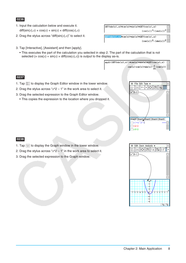- 1. Input the calculation below and execute it.  $diff(sin(x), x) \times cos(x) + sin(x) \times diff(cos(x), x)$
- 2. Drag the stylus across "diff( $sin(x)$ , $x$ )" to select it.
- 3. Tap [Interactive], [Assistant] and then [apply].
	- This executes the part of the calculation you selected in step 2. The part of the calculation that is not selected  $(x cos(x) + sin(x) \times diff(cos(x),x))$  is output to the display as-is.



 $diff(\sin(x), x) \times \cos(x) + \sin(x) \times diff(\cos(x), x)$ 

 $diff(\sin(x), x)$   $\csc(x) + \sin(x)$   $xdiff(\cos(x), x)$ 

### **0237**

- 1. Tap  $\frac{1}{122}$  to display the Graph Editor window in the lower window.
- 2. Drag the stylus across "*x*^2 1" in the work area to select it.
- 3. Drag the selected expression to the Graph Editor window.
	- This copies the expression to the location where you dropped it.



 $(\cos(x))^2 - (\sin(x))^2$ 

 $(\cos(x))^{2}-(\sin(x))^{2}$ 

- 1. Tap  $\overline{\psi}$  to display the Graph window in the lower window.
- 2. Drag the stylus across " $x^2$  1" in the work area to select it.
- 3. Drag the selected expression to the Graph window.

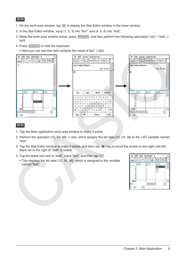- 1. On the work area window, tap  $\boxed{m}$  to display the Stat Editor window in the lower window.
- 2. In the Stat Editor window, input {1, 2, 3} into "list1" and {4, 5, 6} into "list2".
- 3. Make the work area window active, press [Keyboard], and then perform the following calculation: list1 + list2  $\Rightarrow$ list3.
- 4. Press [Keyboard] to hide the keyboard.
	- Here you can see that list3 contains the result of list1 + list2.



- 1. Tap the Main application work area window to make it active.
- 2. Perform the operation {12, 24, 36}  $\Rightarrow$  test, which assigns the list data {12, 24, 36} to the LIST variable named "test".
- 3. Tap the Stat Editor window to make it active, and then use  $\bigcirc$  key to scroll the screen to the right until the blank list to the right of "list6" is visible.
- 4. Tap the blank cell next to "list6", input "test", and then tap  $\overline{ex}$ .
	- This displays the list data {12, 24, 36}, which is assigned to the variable named "test".

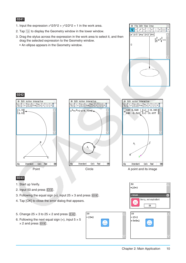- 1. Input the expression  $x^2/5^2 + y^2/2^2 = 1$  in the work area.
- 2. Tap  $\boxed{\circledast}$  to display the Geometry window in the lower window.
- 3. Drag the stylus across the expression in the work area to select it, and then drag the selected expression to the Geometry window.
	- An ellipse appears in the Geometry window.





- 1. Start up Verify.
- 2. Input 50 and press  $EXE$ .
- 3. Following the equal sign (=), input  $25 \times 3$  and press  $EXE$ .
- 4. Tap [OK] to close the error dialog that appears.
- 5. Change  $25 \times 3$  to  $25 \times 2$  and press  $\overline{EXE}$ .
- 6. Following the next equal sign (=), input  $5 \times 5$  $\times$  2 and press  $EXE$ .



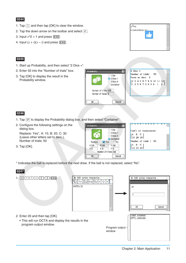- 1. Tap  $\boxed{\Box}$  and then tap [OK] to clear the window.
- 2. Tap the down arrow on the toolbar and select  $\lceil \mathfrak{C} \rceil$ .
- 3. Input  $x^2 + 1$  and press  $\overline{EXE}$ .
- 4. Input  $(x + i)(x i)$  and press **EXE**.

### **0245**

- 1. Start up Probability, and then select "2 Dice +".
- 2. Enter 50 into the "Number of trials" box.
- 3. Tap [OK] to display the result in the Probability window.

| Probability                                           | í      |
|-------------------------------------------------------|--------|
| 1 Die<br>$\bigcirc$ 2 Dice +<br>2 Dice *<br>Container | I<br>I |
| Number of trials 50<br>Number of faces 6              |        |
| Cancel<br>OK                                          |        |



| 2 Dice +         |  |  |  |                      |                                                                                                                           |  |
|------------------|--|--|--|----------------------|---------------------------------------------------------------------------------------------------------------------------|--|
|                  |  |  |  | Number of trials: 50 |                                                                                                                           |  |
| Faces on dice: 6 |  |  |  |                      |                                                                                                                           |  |
|                  |  |  |  |                      |                                                                                                                           |  |
|                  |  |  |  |                      | $\begin{bmatrix} 2 & 3 & 4 & 5 & 6 & 7 & 8 & 9 & 10 & 11 & 12 \\ 1 & 3 & 5 & 6 & 7 & 5 & 9 & 5 & 6 & 1 & 2 \end{bmatrix}$ |  |
|                  |  |  |  |                      |                                                                                                                           |  |
|                  |  |  |  |                      |                                                                                                                           |  |

### **0246**

- 1. Tap  $\mathbb P$  to display the Probability dialog box, and then select "Container".
- 2. Configure the following settings on the dialog box. Replace: Yes\*, A: 10, B: 20, C: 30

(Leave other letters set to zero.), Number of trials: 50

3. Tap [OK].

\* Indicates the ball is replaced before the next draw. If the ball is not replaced, select "No".

Probability

 $A$  $10$ 

 $\overline{OK}$ 

 $D$ <sub>0</sub>



◯ 1 Die  $\bigcirc$  2 Dice + ◯ 2 Dice \* Container Replace V Yes  $\Box$  No  $c|30$  $B\overline{20}$  $F\overline{0}$  $E$ <sub>0</sub> Number of trials 50 Cancel

| <u> 11 0 0 0 1 0 0 0 0 1 1 4</u>                          |  |  |  |  |  |
|-----------------------------------------------------------|--|--|--|--|--|
| Cont'r w/ replacement:                                    |  |  |  |  |  |
| $\begin{bmatrix} A & B & C \\ 10 & 20 & 30 \end{bmatrix}$ |  |  |  |  |  |
| Number of trials : 50                                     |  |  |  |  |  |
| $\begin{bmatrix} A & B & C \\ 12 & 13 & 25 \end{bmatrix}$ |  |  |  |  |  |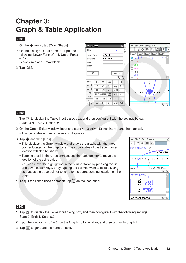### <span id="page-11-0"></span>**Chapter 3: Graph & Table Application**

### **0301**

- 1. On the  $\bullet$  menu, tap [Draw Shade].
- 2. On the dialog box that appears, input the following: Lower Func:  $x^2 - 1$ , Upper Func:  $-x^2 + 1$ . Leave *x* min and *x* max blank.
- 3. Tap [OK].



### **0302**

- 1. Tap  $\boxed{3}$  to display the Table Input dialog box, and then configure it with the settings below. Start: –4.9, End: 7.1, Step: 2
- 2. On the Graph Editor window, input and store  $y = 3\log(x + 5)$  into line  $y_1$ , and then tap
	- This generates a number table and displays it.
- 3. Tap  $\bullet$  and then [Link].
	- This displays the Graph window and draws the graph, with the trace pointer located on the graph line. The coordinates of the trace pointer location will also be shown.
	- Tapping a cell in the *y*1 column causes the trace pointer to move the location of the cell's value.
	- You can move the highlighting in the number table by pressing the up and down cursor keys, or by tapping the cell you want to select. Doing so causes the trace pointer to jump to the corresponding location on the graph.
- 4. To quit the linked trace operation, tap  $\stackrel{\epsilon_{\text{ss}}}{\leftrightarrow}$  on the icon panel.



- 1. Tap  $\mathbb{R}$  to display the Table Input dialog box, and then configure it with the following settings. Start: 0, End: 1, Step: 0.2
- 2. Input the function  $y = x^3 3x$  on the Graph Editor window, and then tap  $\overline{\biguplus}$  to graph it.
- 3. Tap  $\mathbb{H}$  to generate the number table.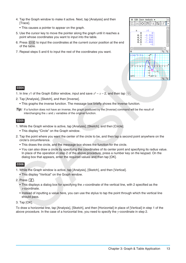- 4. Tap the Graph window to make it active. Next, tap [Analysis] and then [Trace].
	- This causes a pointer to appear on the graph.
- 5. Use the cursor key to move the pointer along the graph until it reaches a point whose coordinates you want to input into the table.
- 6. Press [EXE] to input the coordinates at the current cursor position at the end of the table.
- 7. Repeat steps 5 and 6 to input the rest of the coordinates you want.



- 1. In line y1 of the Graph Editor window, input and save  $x^2 x 2$ , and then tap  $\Box$ .
- 2. Tap [Analysis], [Sketch], and then [Inverse].
	- This graphs the inverse function. The message box briefly shows the inverse function.
- *Tip:* If a function does not have an inverse, the graph produced by the [Inverse] command will be the result of interchanging the *x* and *y* variables of the original function.

### **0305**

- 1. While the Graph window is active, tap [Analysis], [Sketch], and then [Circle].
	- This display "Circle" on the Graph window.
- 2. Tap the point where you want the center of the circle to be, and then tap a second point anywhere on the circle's circumference.
	- This draws the circle, and the message box shows the function for the circle.
	- You can also draw a circle by specifying the coordinates of its center point and specifying its radius value. In place of the operation in step 2 of the above procedure, press a number key on the keypad. On the dialog box that appears, enter the required values and then tap [OK].

### **0306**

- 1. While the Graph window is active, tap [Analysis], [Sketch], and then [Vertical].
	- This display "Vertical" on the Graph window.
- 2. Press  $\boxed{2}$ .
	- This displays a dialog box for specifying the *x*-coordinate of the vertical line, with 2 specified as the *x*-coordinate.
	- Instead of inputting a value here, you can use the stylus to tap the point through which the vertical line should pass.

### 3. Tap [OK].

To draw a horizontal line, tap [Analysis], [Sketch], and then [Horizontal] in place of [Vertical] in step 1 of the above procedure. In the case of a horizontal line, you need to specify the *y*-coordinate in step 2.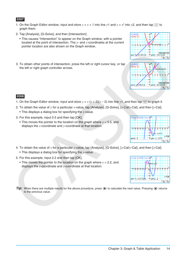graph them.

- This causes "Intersection" to appear on the Graph window, with a pointer located at the point of intersection. The *x*- and *y*-coordinates at the current pointer location are also shown on the Graph window.
- 3. To obtain other points of intersection, press the left or right cursor key, or tap the left or right graph controller arrows.
- **0308**
- 1. On the Graph Editor window, input and store  $y = x(x + 2)(x 2)$  into line y1, and then tap  $\overline{\psi}$  to graph it.

1. On the Graph Editor window, input and store  $y = x + 1$  into line  $y1$  and  $y = x^2$  into  $y2$ , and then tap  $\Box$  to

- 2. To obtain the value of *y* for a particular *x*-value, tap [Analysis], [G-Solve], [*x*-Cal/*y*-Cal], and then [*y*-Cal].
	- This displays a dialog box for specifying the *x*-value.
- 3. For this example, input 0.5 and then tap [OK].
	- This moves the pointer to the location on the graph where  $x = 0.5$ , and displays the *x*-coordinate and *y*-coordinate at that location.
- 4. To obtain the value of *x* for a particular *y*-value, tap [Analysis], [G-Solve], [*x*-Cal/*y*-Cal], and then [*x*-Cal].
	- This displays a dialog box for specifying the *y*-value.
- 5. For this example, input 2.2 and then tap [OK].
	- This moves the pointer to the location on the graph where  $y = 2.2$ , and displays the *x*-coordinate and *y*-coordinate at that location.

**Tip:** When there are multiple results for the above procedure, press  $\odot$  to calculate the next value. Pressing  $\odot$  returns to the previous value.





 $E_1$   $E_2$ 

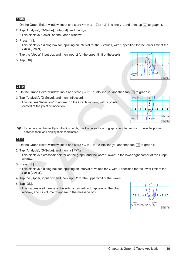- 1. On the Graph Editor window, input and store  $y = x(x + 2)(x 2)$  into line y1, and then tap  $\overline{w}$  to graph it.
- 2. Tap [Analysis], [G-Solve], [Integral], and then [∫dx].
	- This displays "Lower" on the Graph window.
- 3. Press  $\boxed{1}$ .
	- This displays a dialog box for inputting an interval for the *x*-values, with 1 specified for the lower limit of the *x*-axis (Lower).
- 4. Tap the [Upper] input box and then input 2 for the upper limit of the *x*-axis.
- 5. Tap [OK].



### **0310**

- 1. On the Graph Editor window, input and store  $y = x^3 1$  into line y1, and then tap  $\overline{\biguplus}$  to graph it.
- 2. Tap [Analysis], [G-Solve], and then [Inflection].
	- This causes "Inflection" to appear on the Graph window, with a pointer located at the point of inflection.



*Tip:* If your function has multiple inflection points, use the cursor keys or graph controller arrows to move the pointer between them and display their coordinates.

- 1. On the Graph Editor window, input and store  $y = x^2 x 2$  into line y1, and then tap  $\Box$  to graph it.
- 2. Tap [Analysis], [G-Solve], and then [ $\pi \int f(x)^2 dx$ ].
	- This displays a crosshair pointer on the graph, and the word "Lower" in the lower right corner of the Graph window.
- 3. Press  $\Box$ .
	- This displays a dialog box for inputting an interval of values for *x*, with 1 specified for the lower limit of the *x*-axis (Lower).
- 4. Tap the [Upper] input box and then input 2 for the upper limit of the *x*-axis.
- 5. Tap [OK].
	- This causes a silhouette of the solid of revolution to appear on the Graph window, and its volume to appear in the message box.

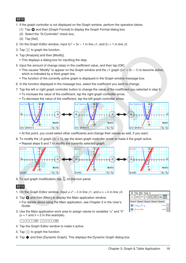- 1. If the graph controller is not displayed on the Graph window, perform the operation below.
	- (1) Tap  $\ddot{\bullet}$  and then [Graph Format] to display the Graph Format dialog box.
	- (2) Select the "G-Controller" check box.
	- (3) Tap [Set].
- 2. On the Graph Editor window, input  $2x^2 + 3x 1$  in line y1, and  $2x + 1$  in line y2.
- 3. Tap  $\overline{\mathbb{H}}$  to graph the function.
- 4. Tap [Analysis] and then [Modify].
	- This displays a dialog box for inputting the step.
- 5. Input the amount of change (step) in the coefficient value, and then tap [OK].
	- This causes "Modify" to appear on the Graph window and the  $y1$  graph  $(2x^2 + 3x 1)$  to become active, which is indicated by a thick graph line.
	- The function of the currently active graph is displayed in the Graph window message box.
- 6. In the function displayed in the message box, select the coefficient you want to change.
- 7. Tap the left or right graph controller button to change the value of the coefficient you selected in step 5.
	- To increase the value of the coefficient, tap the right graph controller arrow.
	- To decrease the value of the coefficient, tap the left graph controller arrow.



• At this point, you could select other coefficients and change their values as well, if you want.

- 8. To modify the  $y2$  graph  $(2x + 1)$ , tap the down graph controller arrow to make it the graph active.
	- Repeat steps 6 and 7 to modify the currently selected graph.



9. To quit graph modification, tap  $\frac{1}{2}$  on the icon panel.

### **0313**

- 1. On the Graph Editor window, input  $a \cdot x^2 b$  in line y1, and  $a \cdot x + b$  in line y2.
- 2. Tap  $\bullet$  and then [Main] to display the Main application window.
	- For details about using the Main application, see Chapter 2 in the User's Guide.
- 3. Use the Main application work area to assign values to variables "*a*" and "*b*"  $(a = 1$  and  $b = 2$  in this example).

### $\boxed{1}$   $\rightarrow$   $\boxed{a}$   $\boxed{EXE}$   $\boxed{2}$   $\rightarrow$   $\boxed{b}$   $\boxed{EXE}$

- 4. Tap the Graph Editor window to make it active.
- 5. Tap  $\overline{\mathcal{H}}$  to graph the function.
- 6. Tap  $\spadesuit$  and then [Dynamic Graph]. This displays the Dynamic Graph dialog box.

| File Edit Type $\bullet$                                                    |  |
|-----------------------------------------------------------------------------|--|
| Ⅲ ソ=  ▼   63   132   153                                                    |  |
| Sheet1 Sheet2 Sheet3 Sheet4 Sheet5                                          |  |
| $\overline{\mathbf{v}}$ y 1= $_{\mathbf{a}\cdot\mathbf{x}}$ <sup>2</sup> -b |  |
| $\sqrt{yz} = a \cdot x + b$                                                 |  |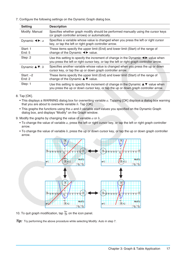7. Configure the following settings on the Dynamic Graph dialog box.

| <b>Setting</b>                                              | <b>Description</b>                                                                                                                                                                                                |
|-------------------------------------------------------------|-------------------------------------------------------------------------------------------------------------------------------------------------------------------------------------------------------------------|
| Modify: Manual                                              | Specifies whether graph modify should be performed manually using the cursor keys<br>(or graph controller arrows) or automatically.                                                                               |
| Dynamic $\blacktriangleleft \blacktriangleright$ : <i>a</i> | Specifies a variable whose value is changed when you press the left or right cursor<br>key, or tap the left or right graph controller arrow.                                                                      |
| Start: 1<br>End: $5$                                        | These items specify the upper limit (End) and lower limit (Start) of the range of<br>change of the Dynamic $\blacktriangleleft$ value.                                                                            |
| Step: 2                                                     | Use this setting to specify the increment of change in the Dynamic $\blacktriangleleft\blacktriangleright$ value when<br>you press the left or right cursor key, or tap the left or right graph controller arrow. |
| Dynamic $\triangle \blacktriangledown$ : <i>b</i>           | Specifies another variable whose value is changed when you press the up or down<br>cursor key, or tap the up or down graph controller arrow.                                                                      |
| Start: $-2$<br>End: $2$                                     | These items specify the upper limit (End) and lower limit (Start) of the range of<br>change of the Dynamic $\blacktriangle \blacktriangledown$ value.                                                             |
| Step: 1                                                     | Use this setting to specify the increment of change in the Dynamic $\blacktriangle \blacktriangledown$ value when<br>you press the up or down cursor key, or tap the up or down graph controller arrow.           |

- 8. Tap [OK].
	- This displays a WARNING dialog box for overwriting variable *a*. Tapping [OK] displays a dialog box warning that you are about to overwrite variable *b*. Tap [OK].
	- This graphs the functions using the *a* and *b* variable start values you specified on the Dynamic Graph dialog box, and displays "Modify" on the Graph window.
- 9. Modify the graphs by changing the value of variable *a* or *b*.
	- To change the value of variable *a*, press the left or right cursor key, or tap the left or right graph controller arrow.
	- To change the value of variable *b*, press the up or down cursor key, or tap the up or down graph controller arrow.



10. To quit graph modification, tap  $\frac{f_{\text{sec}}}{f}$  on the icon panel.

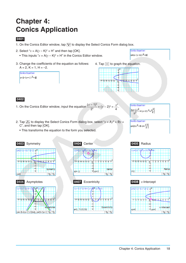### <span id="page-17-0"></span>**Chapter 4: Conics Application**

### **0401**

- 1. On the Conics Editor window, tap  $\sqrt{\frac{f(x,y)}{f(x)}}$  to display the Select Conics Form dialog box.
- 2. Select " $x = A(y K)^2 + H$ " and then tap [OK].
	- This inputs  $x = A(y K)^2 + H$ " in the Conics Editor window.
- 3. Change the coefficients of the equation as follows:  $A = 2, K = 1, H = -2.$





### **0402**

1. On the Conics Editor window, input the equation  $\frac{(x-1)^2}{2}$ 22  $(x + (y - 2)^2) = \frac{x^2}{4}$ .



- 2. Tap  $\frac{1}{[f(x)]}$  to display the Select Conics Form dialog box, select " $x = Ay^2 + By +$ C", and then tap [OK].
	- This transforms the equation to the form you selected.













**Conics Equation:**  $x=2 \cdot y^2 - 8 \cdot y + \frac{17}{2}$ 







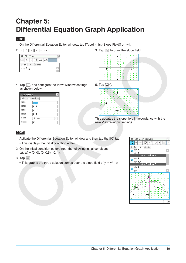### <span id="page-18-0"></span>**Chapter 5: Differential Equation Graph Application**

### **0501**

- 1. On the Differential Equation Editor window, tap [Type] [1st (Slope Field)] or  $\boxed{r}$ .
- 

| ö      | Edit Type |    |        |    |       |  |
|--------|-----------|----|--------|----|-------|--|
|        |           |    |        | √α | y="2} |  |
| DiffEq |           | IC | Graphs |    |       |  |
|        |           |    |        |    |       |  |

2.  $y[\hat{z}][z] = x[\bar{x}]$  [xx  $\bar{z}$ ] Ext.  $\bar{z}$  3. Tap  $\bar{z}$  to draw the slope field.

|  |  |  |  | 5 |  |
|--|--|--|--|---|--|
|  |  |  |  |   |  |
|  |  |  |  |   |  |
|  |  |  |  |   |  |
|  |  |  |  |   |  |

4. Tap  $\boxed{6}$ , and configure the View Window settings as shown below.

|              | View Window |  |  |  |  |  |  |  |
|--------------|-------------|--|--|--|--|--|--|--|
| Window       | Solutions   |  |  |  |  |  |  |  |
| xmin         | $-1.5$      |  |  |  |  |  |  |  |
| xmax         | 1.5         |  |  |  |  |  |  |  |
| ymin         | $-1.5$      |  |  |  |  |  |  |  |
| vmax         | 1.5         |  |  |  |  |  |  |  |
| Field        | Arrows      |  |  |  |  |  |  |  |
| <b>Steps</b> | 12          |  |  |  |  |  |  |  |

### 5. Tap [OK].



This updates the slope field in accordance with the new View Window settings.

- 1. Activate the Differential Equation Editor window and then tap the [IC] tab.
	- This displays the initial condition editor.
- 2. On the initial condition editor, input the following initial conditions:  $(xi, yi) = (0, 0), (0, 0.5), (0, 1).$
- 3. Tap  $\mathbb{R}$ .
	- This graphs the three solution curves over the slope field of  $y' = y^2 x$ .

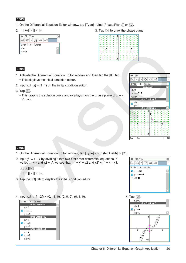- 1. On the Differential Equation Editor window, tap [Type] [2nd (Phase Plane)] or  $\frac{R^2}{R^2}$ .
- 2.  $\boxed{x}$   $\boxed{\text{Exe}}$   $\boxed{-\boxed{y}$   $\boxed{\text{Exe}}$

| Edit Type<br>۰                 |  |
|--------------------------------|--|
| Xhu<br>$\sqrt{\alpha}$<br>y="? |  |
| DiffEq<br>Graphs<br>IC         |  |
| x'=x                           |  |
| у*=- <b>у </b>                 |  |

|    |  | ×  |   |  |
|----|--|----|---|--|
|    |  | ь  |   |  |
| ×. |  | ×. |   |  |
|    |  | ĸ  |   |  |
|    |  |    |   |  |
|    |  |    | , |  |
|    |  |    |   |  |
|    |  |    |   |  |

### **0504**

- 1. Activate the Differential Equation Editor window and then tap the [IC] tab. • This displays the initial condition editor.
- 2. Input  $(x_i, y_i) = (1, 1)$  on the initial condition editor.
- 3. Tap  $\mathbb{R}$ .
	- This graphs the solution curve and overlays it on the phase plane of  $x' = x$ , *y*' = −*y*.

| Edit<br>Ò.                                       |  |  |  |  |  |  |  |
|--------------------------------------------------|--|--|--|--|--|--|--|
| $\oplus$<br>$\sqrt{\alpha}$<br>$\mathbf{v}$<br>1 |  |  |  |  |  |  |  |
| DiffEq<br>IC<br>Graphs                           |  |  |  |  |  |  |  |
| Independent                                      |  |  |  |  |  |  |  |
| $t0=0$                                           |  |  |  |  |  |  |  |
| $t$ min= $-7.7$                                  |  |  |  |  |  |  |  |
| $t$ max=7.7                                      |  |  |  |  |  |  |  |
| <b>Initial Condition 1</b>                       |  |  |  |  |  |  |  |
| $xi=1$<br>V                                      |  |  |  |  |  |  |  |
| $y = 1$                                          |  |  |  |  |  |  |  |
|                                                  |  |  |  |  |  |  |  |
| <b>Condition 2</b><br><u>Initial</u>             |  |  |  |  |  |  |  |
|                                                  |  |  |  |  |  |  |  |
| 4                                                |  |  |  |  |  |  |  |
|                                                  |  |  |  |  |  |  |  |
|                                                  |  |  |  |  |  |  |  |
|                                                  |  |  |  |  |  |  |  |
|                                                  |  |  |  |  |  |  |  |
| ĸ<br>ä                                           |  |  |  |  |  |  |  |
| ĸ                                                |  |  |  |  |  |  |  |
| ۶                                                |  |  |  |  |  |  |  |
| ٩<br>t<br>↖<br>z<br>1<br>Ñ<br>Σ.                 |  |  |  |  |  |  |  |
| ٩<br>t<br>٢<br>t<br>1<br>۲                       |  |  |  |  |  |  |  |

- 1. On the Differential Equation Editor window, tap [Type] [Nth (No Field)] or  $\frac{1}{1222}$ -
- 2. Input *y*'' = *x* − *y* by dividing it into two first order differential equations. If we let  $y1 = y$  and  $y2 = y'$ , we see that  $y1' = y' = y2$  and  $y2' = y'' = x - y1$ .

|                     | $\sqrt{2}$ | EXE <sup>1</sup> |       |            |
|---------------------|------------|------------------|-------|------------|
| $\boldsymbol{\chi}$ |            | $\mathbf{y}$     | II 1. | <b>EXE</b> |

- 3. Tap the [IC] tab to display the initial condition editor.
- 4. Input  $(x_i, y_1i, y_2i) = (0, -1, 0), (0, 0, 0), (0, 1, 0).$  5. Tap  $\boxed{\phantom{a}}$







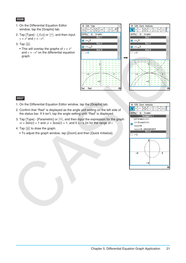- 1. On the Differential Equation Editor window, tap the [Graphs] tab.
- 2. Tap [Type]  $[f(x)]$  or  $\boxed{y=}$ , and then input *y* =  $x^2$  and *y* =  $-x^2$ .
- $3.$  Tap  $\mathbb{R}$ .
	- This will overlay the graphs of  $y = x^2$ and  $y = -x^2$  on the differential equation



### **0507**

- 1. On the Differential Equation Editor window, tap the [Graphs] tab.
- 2. Confirm that "Rad" is displayed as the angle unit setting on the left side of the status bar. If it isn't, tap the angle setting until "Rad" is displayed.
- 3. Tap [Type] [Parametric] or  $\overline{x_t}$ , and then input the expression for the graph  $xt = 3\sin(t) + 1$  and  $yt = 3\cos(t) + 1$ , and  $0 \le t \le 2\pi$  for the range of *t*.
- 4. Tap  $\mathbb{R}$  to draw the graph.
	- To adjust the graph window, tap [Zoom] and then [Quick Initialize].



 $\overline{a}$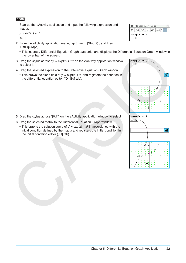1. Start up the eActivity application and input the following expression and matrix.

 $y' = \exp(x) + x^2$  $[0,1]$ 

- 2. From the eActivity application menu, tap [Insert], [Strip(2)], and then [DiffEqGraph].
	- This inserts a Differential Equation Graph data strip, and displays the Differential Equation Graph window in the lower half of the screen.
- 3. Drag the stylus across " $y' = exp(x) + x^{2}$ " on the eActivity application window to select it.
- 4. Drag the selected expression to the Differential Equation Graph window.
	- This draws the slope field of  $y' = exp(x) + x^2$  and registers the equation in the differential equation editor ([DiffEq] tab).

- 5. Drag the stylus across "[0,1]" on the eActivity application window to select it.
- 6. Drag the selected matrix to the Differential Equation Graph window.
	- This graphs the solution curve of  $y' = exp(x) + x^2$  in accordance with the initial condition defined by the matrix and registers the initial condition in the initial condition editor ([IC] tab).

| File Edit Insert Action |                               |                                         |  |  |  |  |  |
|-------------------------|-------------------------------|-----------------------------------------|--|--|--|--|--|
| Н                       | $\frac{1}{2}$ $\frac{1}{0.5}$ |                                         |  |  |  |  |  |
| $\parallel$ [O, 1]      |                               | $\left\vert y'\right\vert =\exp(x)+x^2$ |  |  |  |  |  |

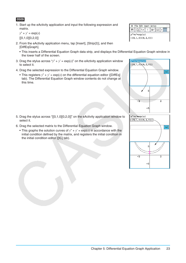1. Start up the eActivity application and input the following expression and matrix.

 $y'' + y' = \exp(x)$  $[[0,1,0][0,2,0]]$ 

- 2. From the eActivity application menu, tap [Insert], [Strip(2)], and then [DiffEqGraph].
	- This inserts a Differential Equation Graph data strip, and displays the Differential Equation Graph window in the lower half of the screen.
- 3. Drag the stylus across " $y$ " +  $y$ ' =  $exp(x)$ " on the eActivity application window to select it.
- 4. Drag the selected expression to the Differential Equation Graph window.
	- This registers  $y'' + y' = exp(x)$  on the differential equation editor ([DiffEq] tab). The Differential Equation Graph window contents do not change at this time.

- 5. Drag the stylus across "[[0,1,0][0,2,0]]" on the eActivity application window to select it.
- 6. Drag the selected matrix to the Differential Equation Graph window.
	- This graphs the solution curves of  $y'' + y' = exp(x)$  in accordance with the initial condition defined by the matrix, and registers the initial condition in the initial condition editor ([IC] tab).





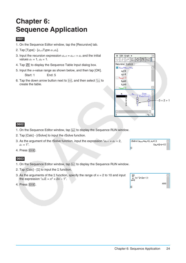### <span id="page-23-0"></span>**Chapter 6: Sequence Application**

### **0601**

- 1. On the Sequence Editor window, tap the [Recursive] tab.
- 2. Tap [Type] [*an*+2Type *a*1,*a*2].
- 3. Input the recursion expression  $a_{n+2} = a_{n+1} + a_n$  and the initial values  $a_1 = 1$ ,  $a_2 = 1$ .
- 4. Tap **图** to display the Sequence Table Input dialog box.
- 5. Input the *n*-value range as shown below, and then tap [OK]. Start: 1 End: 5
- 6. Tap the down arrow button next to  $\lim_{n\to\infty}$ , and then select  $\frac{c}{a+b}$  to create the table.



### **0602**

- 1. On the Sequence Editor window, tap  $\frac{1}{2}$  to display the Sequence RUN window.
- 2. Tap [Calc] [rSolve] to input the rSolve function.
- 3. As the argument of the rSolve function, input the expression " $a_{n+1} = a_n + 2$ ,  $a_1 = 1$ ".
- 4. Press [EXE].

- 1. On the Sequence Editor window, tap  $\overline{\mathfrak{x}_{\mathsf{an}}}$  to display the Sequence RUN window.
- 2. Tap  $[Calc] [\Sigma]$  to input the  $\Sigma$  function.
- 3. As the arguments of the Σ function, specify the range of *n* = 2 to 10 and input the expression " $a_nE = n^2 + 2n - 1$ ".
- 4. Press [EXE].



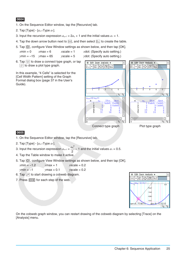- 1. On the Sequence Editor window, tap the [Recursive] tab.
- 2. Tap [Type] [*an*+1Type *a*1].
- 3. Input the recursion expression  $a_{n+1} = 2a_n + 1$  and the initial values  $a_1 = 1$ .
- 4. Tap the down arrow button next to  $\text{min}$ , and then select  $\frac{1}{b}$  to create the table.
- 5. Tap  $\mathbb{F}$ , configure View Window settings as shown below, and then tap [OK].

 $xmin = 0$   $xmax = 6$   $xscale = 1$   $xdot$ : (Specify auto setting.) *y*min = –15 *y*max = 65 *y*scale = 5 *y*dot: (Specify auto setting.)

6. Tap  $\Box$  to draw a connect type graph, or tap  $\sqrt{\frac{1}{\sqrt{1}}}$  to draw a plot type graph.

In this example, "4 Cells" is selected for the [Cell Width Pattern] setting of the Graph Format dialog box (page 37 in the User's Guide).





### **0605**

- 1. On the Sequence Editor window, tap the [Recursive] tab.
- 2. Tap [Type] [*an*+1Type *a*1].

3. Input the recursion expression  $a_{n+1} = \frac{a_n^2}{2}$  $\frac{4n}{2}$  – 1 and the initial values  $a_1$  = 0.5.

- 4. Tap the Table window to make it active.
- 5. Tap  $\mathbb{E}$ , configure View Window settings as shown below, and then tap [OK].

*x*min = −1.2 *x*max = 1 *x*scale = 0.2

- *ymin* = −1 *ymax* = 0.1 *yscale* = 0.2
- 6. Tap  $\mathbb{P}$  to start drawing a cobweb diagram.
- 7. Press  $\overline{ex}$  for each step of the web.



On the cobweb graph window, you can restart drawing of the cobweb diagram by selecting [Trace] on the [Analysis] menu.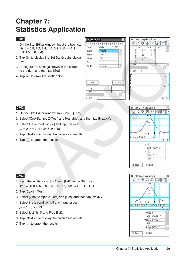## <span id="page-25-0"></span>**Chapter 7: Statistics Application**

### **0701**

- 1. On the Stat Editor window, input the two lists (list1 = 0.5, 1.2, 2.4, 4.0, 5.2, list2 = −2.1, 0.3, 1.5, 2.0, 2.4).
- 2. Tap  $\mathbb{R}$  to display the Set StatGraphs dialog box.
- 3. Configure the settings shown in the screen to the right and then tap [Set].
- 4. Tap  $\boxed{\mathbf{u}}$  to draw the scatter plot.





### **0702**

- 1. On the Stat Editor window, tap [Calc] [Test] .
- 2. Select [One-Sample Z-Test] and [Variable], and then tap [Next>>].
- 3. Select the  $\mu$  condition [ $\neq$ ] and input values.  $\mu_0 = 0$ ,  $\sigma = 3$ ,  $\bar{x} = 24.5$ ,  $n = 48$
- 4. Tap [Next>>] to display the calculation results.
- 5. Tap  $\overline{\mathbb{H}}$  to graph the results.

### **0703**

- 1. Input the list data into [list1] and [list2] in the Stat Editor.  $list1 = \{120, 125, 130, 135, 140, 145\}$ ,  $list2 = \{1, 2, 4, 1, 1, 1\}$
- 2. Tap [Calc] [Test].
- 3. Select [One-Sample Z-Test] and [List], and then tap [Next>>].
- 4. Select the  $\mu$  condition [>] and input values.

 $μ<sub>0</sub> = 120, σ = 19$ 

- 5. Select List [list1] and Freq [list2].
- 6. Tap [Next>>] to display the calculation results.
- 7. Tap  $\overline{\left|\psi\right|}$  to graph the results.



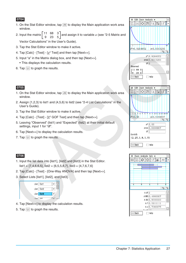- 1. On the Stat Editor window, tap  $\sqrt{a}$  to display the Main application work area window.
- 2. Input the matrix  $\begin{bmatrix} 11 & 68 & 3 \\ 9 & 23 & 5 \end{bmatrix}$  and assign it to variable *a* (see "2-5 Matrix and Vector Calculations" in the User's Guide).
- 3. Tap the Stat Editor window to make it active.
- 4. Tap [Calc] [Test]  $[\chi^2$  Test] and then tap [Next>>].
- 5. Input "a" in the Matrix dialog box, and then tap [Next>>].
	- This displays the calculation results.
- 6. Tap  $\overline{\mathbb{H}}$  to graph the results.

### **0705**

- 1. On the Stat Editor window, tap  $\sqrt{a}$  to display the Main application work area window.
- 2. Assign {1,2,3} to list1 and {4,5,6} to list2 (see "2-4 List Calculations" in the User's Guide).
- 3. Tap the Stat Editor window to make it active.
- 4. Tap [Calc] [Test]  $[\chi^2$  GOF Test] and then tap [Next>>].
- 5. Leaving "Observed" (list1) and "Expected" (list2) at their initial default settings, input 1 for "df".
- 6. Tap [Next>>] to display the calculation results.
- 7. Tap  $\overline{\boxplus}$  to graph the results.

- 1. Input the list data into [list1], [list2] and [list3] in the Stat Editor.  $list1 = \{7, 4, 6, 6, 5\},$   $list2 = \{6, 5, 5, 8, 7\},$   $list3 = \{4, 7, 6, 7, 6\}$
- 2. Tap [Calc] [Test] [One-Way ANOVA] and then tap [Next>>].
- 3. Select Lists [list1], [list2], and [list3].



- 4. Tap [Next>>] to display the calculation results.
- 5. Tap  $\overline{\mathbf{w}}$  to graph the results.





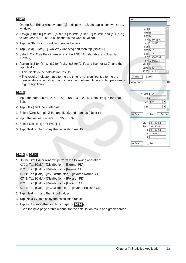- 1. On the Stat Editor window, tap  $\sqrt{a}$  to display the Main application work area window.
- 2. Assign {113,116} to list1, {139,132} to list2, {133,131} to list3, and {126,122} to list4 (see "2-4 List Calculations" in the User's Guide).
- 3. Tap the Stat Editor window to make it active.
- 4. Tap [Calc] [Test] [Two-Way ANOVA] and then tap [Next>>].
- 5. Select " $2 \times 2$ " as the dimensions of the ANOVA data table, and then tap [Next>>].
- 6. Assign list1 for  $(1,1)$ , list2 for  $(1,2)$ , list3 for  $(2,1)$ , and list4 for  $(2,2)$ , and then tap [Next>>].
	- This displays the calculation results.
	- The results indicate that altering the time is not significant, altering the temperature is significant, and interaction between time and temperature is highly significant.

#### **0708**

- 1. Input the data {299.4, 297.7, 301, 298.9, 300.2, 297} into [list1] in the Stat Editor.
- 2. Tap [Calc] and then [Interval].
- 3. Select [One-Sample Z Int] and [List], and then tap [Next>>].
- 4. Input the values (C-Level =  $0.95$ ,  $\sigma = 3$ ).
- 5. Select List [list1] and Freq [1].
- 6. Tap [Next >>] to display the calculation results.

| ۰           |                        | × |
|-------------|------------------------|---|
|             |                        | ь |
| Adf 1       |                        |   |
| A MS 18     |                        |   |
| $A$ SS $18$ |                        |   |
|             | AF1.8461538            |   |
|             | $A \, p \,   0.245802$ |   |
| B df   1    |                        |   |
|             | BMS 84.5               |   |
|             | BSS 84.5               |   |
|             | BF8.6666667            |   |
|             | Вр 0.042224            |   |
| $AB df$ 1   |                        |   |
|             | AB MS 420.5            |   |
|             | AB SS 420.5            |   |
| << Back     | Help                   |   |
| woWayANOVA  |                        | ▥ |



### **0709** to **0714**

- 1. On the Stat Editor window, perform the following operation:
	- 0709: Tap [Calc] [Distribution] [Normal PD]
	- 0710: Tap [Calc] [Distribution] [Normal CD]
	- 0711: Tap [Calc] [Inv. Distribution] [Inverse Normal CD]
	- 0712: Tap [Calc] [Distribution] [Poisson PD]
	- 0713: Tap [Calc] [Distribution] [Poisson CD]
	- 0714: Tap [Calc] [Inv. Distribution] [Inverse Poisson CD]
- 2. Tap [Next >>], and then input values.
- 3. Tap [Next >>] to display the calculation results.
- 4. Tap  $\overline{\mathbf{w}}$  to graph the results (except for **0714**).
	- See the next page of this manual for the calculation result and graph screen.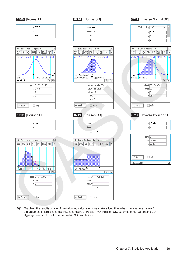

**Tip:** Graphing the results of one of the following calculations may take a long time when the absolute value of the argument is large: Binomial PD, Binomial CD, Poisson PD, Poisson CD, Geometric PD, Geometric CD, Hypergeometric PD, or Hypergeometric CD calculations.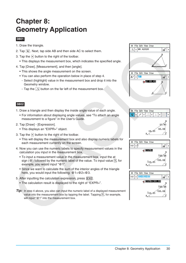### <span id="page-29-0"></span>**Chapter 8: Geometry Application**

### **0801**

- 1. Draw the triangle.
- 2. Tap  $\boxed{N}$ . Next, tap side AB and then side AC to select them.
- 3. Tap the  $\boxed{\blacktriangleright}$  button to the right of the toolbar.
	- This displays the measurement box, which indicates the specified angle.
- 4. Tap [Draw], [Measurement], and then [angle].
	- This shows the angle measurement on the screen.
	- You can also perform the operation below in place of step 4.
	- Select (highlight) value in the measurement box and drop it into the Geometry window.
	- Tap the  $\boxed{\triangle}$  button on the far left of the measurement box.

- 1. Draw a triangle and then display the inside angle value of each angle.
	- For information about displaying angle values, see "To attach an angle measurement to a figure" in the User's Guide.
- 2. Tap [Draw] [Expression].
	- This displays an "EXPR=" object.
- 3. Tap the  $\blacktriangleright$  button to the right of the toolbar.
	- This will display the measurement box and also display numeric labels for each measurement currently on the screen.
- 4. Now you can use the numeric labels to specify measurement values in the calculation you input in the measurement box.
	- To input a measurement value in the measurement box, input the at sign ( $@$ ) followed by the numeric label of the value. To input value  $1$ , for example, you would input "@1".
	- Since we want to calculate the sum of the interior angles of the triangle here, you would input the following: @1+@2+@3.
- 5. After inputting the calculation expression, press  $EXE$ .
	- The calculation result is displayed to the right of "EXPR=".
- *Tip:* In step 4 above, you also can input the numeric label of a displayed measurement value into the measurement box by tapping the label. Tapping  $\overline{1}$ , for example, will input "@1" into the measurement box.





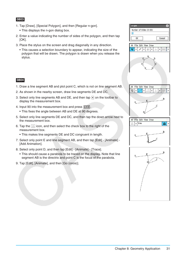- 1. Tap [Draw], [Special Polygon], and then [Regular n-gon]. • This displays the n-gon dialog box.
- 2. Enter a value indicating the number of sides of the polygon, and then tap [OK].
- 3. Place the stylus on the screen and drag diagonally in any direction.
	- This causes a selection boundary to appear, indicating the size of the polygon that will be drawn. The polygon is drawn when you release the stylus.



- 1. Draw a line segment AB and plot point C, which is not on line segment AB.
- 2. As shown in the nearby screen, draw line segments DE and DC.
- 3. Select only line segments AB and DE, and then tap  $\boxed{\blacktriangleright}$  on the toolbar to display the measurement box.
- 4. Input 90 into the measurement box and press  $EXE$ .
	- This fixes the angle between AB and DE at 90 degrees.
- 5. Select only line segments DE and DC, and then tap the down arrow next to the measurement box.
- 6. Tap the  $\boxed{\triangle}$  icon, and then select the check box to the right of the measurement box.
	- This makes line segments DE and DC congruent in length.
- 7. Select only point E and line segment AB, and then tap [Edit] [Animate] [Add Animation].
- 8. Select only point D, and then tap [Edit] [Animate] [Trace].
	- This should cause a parabola to be traced on the display. Note that line segment AB is the directrix and point C is the focus of the parabola.
- 9. Tap [Edit], [Animate], and then [Go (once)].







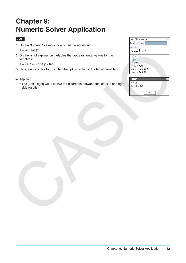### <span id="page-31-0"></span>**Chapter 9: Numeric Solver Application**

### **0901**

- 1. On the Numeric Solver window, input the equation:  $h = vt - 1/2 gt^2$
- 2. On the list of expression variables that appears, enter values for the variables:

 $h = 14$ ,  $t = 2$ , and  $g = 9.8$ .

- 3. Here, we will solve for *v*, so tap the option button to the left of variable *v*.
- 4. Tap Solve.
	- The [Left–Right] value shows the difference between the left side and right side results.

| <b>©</b> Edit Solve ◆                                              |  |
|--------------------------------------------------------------------|--|
| Solve $\left \left \left \right \right \right $<br>$\sqrt{\alpha}$ |  |
| Equation:                                                          |  |
| h=v $\cdot$ t $-\frac{1}{2}$ $\cdot$ g $\cdot$ t $^2$              |  |
| $\bigcirc$ h= 14                                                   |  |
| $\bigcirc$ v=                                                      |  |
| $\bigcirc$ t= 2                                                    |  |
| $\bigcirc$ g= 9.8                                                  |  |
| $Lower = -9E+999$                                                  |  |
| $Upper = 9E + 999$                                                 |  |
|                                                                    |  |
| Result                                                             |  |
| $v = 16.8$                                                         |  |

 $\overline{OK}$ 

Left-Right=0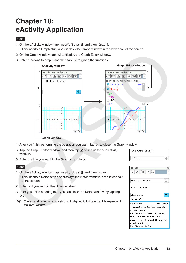### <span id="page-32-0"></span>**Chapter 10: eActivity Application**

### **1001**

- 1. On the eActivity window, tap [Insert], [Strip(1)], and then [Graph].
- This inserts a Graph strip, and displays the Graph window in the lower half of the screen.
- 2. On the Graph window, tap  $\frac{y_{12}}{y_{22}}$  to display the Graph Editor window.
- 3. Enter functions to graph, and then tap  $\overline{\mathcal{H}}$  to graph the functions.



**Graph window**

- 4. After you finish performing the operation you want, tap  $\boxed{\mathbf{X}}$  to close the Graph window.
- 5. Tap the Graph Editor window, and then tap  $\mathbf{\overline{X}}$  to return to the eActivity window.
- 6. Enter the title you want in the Graph strip title box.

- 1. On the eActivity window, tap [Insert], [Strip(1)], and then [Notes].
	- This inserts a Notes strip and displays the Notes window in the lower half of the screen.
- 2. Enter text you want in the Notes window.
- 3. After you finish entering text, you can close the Notes window by tapping  $|\mathsf{X}|$ .
- *Tip:* The expand button of a data strip is highlighted to indicate that it is expanded in the lower window.

| $\parallel$ 1001 Graph Example |  |
|--------------------------------|--|
| $\left\  \sin(x) + x \right\ $ |  |

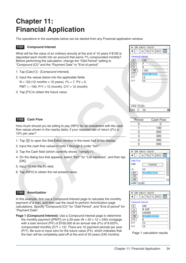## <span id="page-33-0"></span>**Chapter 11: Financial Application**

The operations in the examples below can be started from any Financial application window.

### **1101 Compound Interest**

What will be the value of an ordinary annuity at the end of 10 years if \$100 is deposited each month into an account that earns 7% compounded monthly? Before performing the calculation, change the "Odd Period" setting to "Compound (CI)" and the "Payment Date" to "End of period".

- 1. Tap [Calc(1)] [Compound Interest].
- 2. Input the values below into the applicable fields

 $N = 120$  (12 months  $\times$  10 years),  $I\% = 7$ ,  $PV = 0$ ,

 $PMT = -100$ ,  $P/Y = 12$  (month),  $C/Y = 12$  (month)

3. Tap [FV] to obtain the future value.



How much should you be willing to pay (NPV) for an investment with the cash flow values shown in the nearby table, if your required rate of return (*I*%) is 10% per year?

- 1. Tap  $\boxed{\equiv}$  to open the Stat Editor window in the lower half of the display.
- 2. Input the cash flow values in cells 1 through 6 under "list1".
- 3. Tap the Cash field (which currently shows "<empty>").
- 4. On the dialog box that appears, select "list1" for "List variables", and then tap [OK].
- 5. Input 10 into the *I*% field.
- 6. Tap [NPV] to obtain the net present value.

### **1103 Amortization**

In this example, first use a Compound Interest page to calculate the monthly payment of a loan, and then use the result to perform Amortization page calculations. Specify "Compound (CI)" for "Odd Period", and "End of period" for "Payment Date".

**Page 1 (Compound Interest):** Use a Compound Interest page to determine the monthly payment ([PMT]) on a 20-year ( $N = 20 \times 12 = 240$ ) mortgage with a loan amount (PV) of \$100,000 at an annual rate (*I*%) of 8.025%, compounded monthly  $(C/Y = 12)$ . There are 12 payment periods per year (P/Y). Be sure to input zero for the future value (FV), which indicates that the loan will be completely paid off at the end of 20 years (240 months). Page 1 calculation results





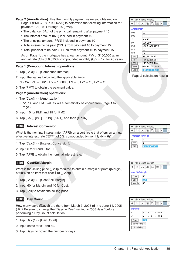**Page 2 (Amortization):** Use the monthly payment value you obtained on Page 1 (PMT = –837.9966279) to determine the following information for payment 10 (PM1) through 15 (PM2).

- The balance (BAL) of the principal remaining after payment 15
- The interest amount (INT) included in payment 10
- The principal amount (PRN) included in payment 10
- Total interest to be paid (ΣINT) from payment 10 to payment 15
- Total principal to be paid (ΣPRN) from payment 10 to payment 15

As on Page 1, the mortgage has a loan amount (PV) of \$100,000 at an annual rate  $(I\%)$  of 8.025%, compounded monthly  $(C/Y = 12)$  for 20 years.

#### **Page 1 (Compound Interest) operations:**

- 1. Tap [Calc(1)] [Compound Interest].
- 2. Input the values below into the applicable fields.

N = 240, *I*% = 8.025, PV = 100000, FV = 0, P/Y = 12, C/Y = 12

3. Tap [PMT] to obtain the payment value.

#### **Page 2 (Amortization) operations:**

- 4. Tap [Calc(1)] [Amortization].
	- PV, *I*%, and PMT values will automatically be copied from Page 1 to Page 2.
- 5. Input 10 for PM1 and 15 for PM2.
- 6. Tap [BAL], [INT], [PRN], [ΣINT], and then [ΣPRN].

#### **1104 Interest Conversion**

What is the nominal interest rate ([APR]) on a certificate that offers an annual effective interest rate ([EFF]) of 5%, compounded bi-monthly ( $N = 6$ )?

- 1. Tap [Calc(1)] [Interest Conversion].
- 2. Input 6 for N and 5 for EFF.
- 3. Tap [APR] to obtain the nominal interest rate.

#### **1105 Cost/Sell/Margin**

What is the selling price ([Sell]) required to obtain a margin of profit ([Margin]) of 60% on an item that cost \$40 ([Cost])?

- 1. Tap [Calc(1)] [Cost/Sell/Margin].
- 2. Input 60 for Margin and 40 for Cost.
- 3. Tap [Sell] to obtain the selling price.

### **1106 Day Count**

How many days ([Days]) are there from March 3, 2005 (d1) to June 11, 2005 (d2)? Be sure to change the "Days in Year" setting to "365 days" before performing a Day Count calculation.

- 1. Tap [Calc(1)] [Day Count].
- 2. Input dates for d1 and d2.
- 3. Tap [Days] to obtain the number of days.



Page 2 calculation results

| ٥          | Edit Calc(1) Calc(2)            |   |             |  |   |  |  |  |
|------------|---------------------------------|---|-------------|--|---|--|--|--|
|            |                                 |   | Þ           |  | 黽 |  |  |  |
| N          | <b>Interest Conversion</b><br>6 |   |             |  |   |  |  |  |
| FFF<br>APR |                                 | 5 | 4.898907631 |  |   |  |  |  |



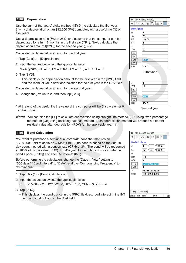### **1107 Depreciation**

Use the sum-of-the-years'-digits method ([SYD]) to calculate the first year  $(j = 1)$  of depreciation on an \$12,000 (PV) computer, with a useful life (N) of five years.

Use a depreciation ratio (*I*%) of 25%, and assume that the computer can be depreciated for a full 12 months in the first year (YR1). Next, calculate the depreciation amount ( $[SYD]$ ) for the second year ( $j = 2$ ).

Calculate the depreciation amount for the first year:

- 1. Tap [Calc(1)] [Depreciation].
- 2. Input the values below into the applicable fields. N = 5 (years), *I*% = 25, PV = 12000, FV = 0\*, *j* = 1, YR1 = 12
- 3. Tap [SYD].
	- This displays the depreciation amount for the first year in the [SYD] field, and the residual value after depreciation for the first year in the RDV field.
- Calculate the depreciation amount for the second year:
- 4. Change the *j* value to 2, and then tap [SYD].
- \* At the end of the useful life the value of the computer will be 0, so we enter 0 in the FV field.
- *Note:* You can also tap [SL] to calculate depreciation using straight-line method, [FP] using fixed-percentage method, or [DB] using declining-balance method. Each depreciation method will produce a different residual value after depreciation (RDV) for the applicable year ( *j* ).

### **1108 Bond Calculation**

You want to purchase a semiannual corporate bond that matures on 12/15/2006 (d2) to settle on 6/1/2004 (d1). The bond is based on the 30/360 day-count method with a coupon rate (CPN) of 3%. The bond will be redeemed at 100% of its par value (RDV). For 4% yield to maturity (YLD), calculate the bond's price ([PRC]) and accrued interest (INT).

Before performing the calculation, change the "Days in Year" setting to "360 days", "Bond Interval" to "Date", and the "Compounding Frequency" to "Semiannual".

- 1. Tap [Calc(1)] [Bond Calculation].
- 2. Input the values below into the applicable fields.

 $d1 = 6/1/2004$ ,  $d2 = 12/15/2006$ , RDV = 100, CPN = 3, YLD = 4

- 3. Tap [PRC].
	- This displays the bond's price in the [PRC] field, accrued interest in the INT field, and cost of bond in the Cost field.

| ۰             | Edit Calc(1) Calc(2) |    |  |  |  |  |  |  |  |
|---------------|----------------------|----|--|--|--|--|--|--|--|
| D             | X<br>İþ<br>Ġ<br>H    | b. |  |  |  |  |  |  |  |
| Depreciation  |                      |    |  |  |  |  |  |  |  |
| N             | 5                    |    |  |  |  |  |  |  |  |
| $\frac{9}{6}$ | 25                   |    |  |  |  |  |  |  |  |
| PV            | 12000                |    |  |  |  |  |  |  |  |
| FV            | $\bf{0}$             |    |  |  |  |  |  |  |  |
| j             | 1                    |    |  |  |  |  |  |  |  |
| YR1           | 12                   |    |  |  |  |  |  |  |  |
| SL            |                      |    |  |  |  |  |  |  |  |
| FP            |                      |    |  |  |  |  |  |  |  |
| SYD           | 4000                 |    |  |  |  |  |  |  |  |
| DB            |                      |    |  |  |  |  |  |  |  |
| RDV           | 8000                 |    |  |  |  |  |  |  |  |



YR  $\overline{\phantom{a}}$ s  $\frac{1}{s}$ ╔ RD<sup>1</sup>

| 2    |
|------|
| 12   |
|      |
|      |
| 3200 |
|      |
| 4800 |

Second year

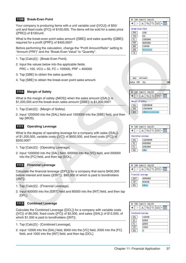### **1109 Break-Even Point**

Your company is producing items with a unit variable cost ([VCU]) of \$50/ unit and fixed costs ([FC]) of \$100,000. The items will be sold for a sales price ([PRC]) of \$100/unit.

What is the break-even point sales amount ([SBE]) and sales quantity ([QBE]) required for a profit ([PRF]) of \$400,000?

Before performing the calculation, change the "Profit Amount/Ratio" setting to "Amount (PRF)" and the "Break-Even Value" to "Quantity".

- 1. Tap [Calc(2)] [Break-Even Point].
- 2. Input the values below into the applicable fields. PRC = 100, VCU = 50, FC = 100000, PRF = 400000
- 3. Tap [QBE] to obtain the sales quantity.
- 4. Tap [SBE] to obtain the break-even point sales amount.

### **1110 Margin of Safety**

What is the margin of safety ([MOS]) when the sales amount ([SAL]) is \$1,200,000 and the break-even sales amount ([SBE]) is \$1,000,000?

- 1. Tap [Calc(2)] [Margin of Safety].
- 2. Input 1200000 into the [SAL] field and 1000000 into the [SBE] field, and then tap [MOS].

#### **1111 Operating Leverage**

What is the degree of operating leverage for a company with sales ([SAL]) of \$1,200,000, variable costs ([VC]) of \$600,000, and fixed costs ([FC]) of \$200,000?

- 1. Tap [Calc(2)] [Operating Leverage].
- 2. Input 1200000 into the [SAL] field, 600000 into the [VC] field, and 200000 into the [FC] field, and then tap [DOL].

### **1112 Financial Leverage**

Calculate the financial leverage ([DFL]) for a company that earns \$400,000 before interest and taxes ([EBIT]), \$80,000 of which is paid to bondholders ([INT]).

- 1. Tap [Calc(2)] [Financial Leverage].
- 2. Input 400000 into the [EBIT] field and 80000 into the [INT] field, and then tap [DFL].

### **1113 Combined Leverage**

Calculate the Combined Leverage ([DCL]) for a company with variable costs ([VC]) of \$6,000, fixed costs ([FC]) of \$2,000, and sales ([SAL]) of \$12,000, of which \$1,000 is paid to bondholders ([INT]).

- 1. Tap [Calc(2)] [Combined Leverage].
- 2. Input 12000 into the [SAL] field, 6000 into the [VC] field, 2000 into the [FC] field, and 1000 into the [INT] field, and then tap [DCL].





| Edit Calc(1) Calc(2)                        |              |     |        |  |   |  |  |  |
|---------------------------------------------|--------------|-----|--------|--|---|--|--|--|
|                                             |              |     | Þ      |  | 瞷 |  |  |  |
| <b>Operating Leverage</b><br>1200000<br>SAL |              |     |        |  |   |  |  |  |
|                                             | VC<br>600000 |     |        |  |   |  |  |  |
| FC                                          |              |     | 200000 |  |   |  |  |  |
| DOL                                         |              | 1.5 |        |  |   |  |  |  |



| Edit Calc(1) Calc(2)<br>o. |                          |                |       |  |   |  |  |  |
|----------------------------|--------------------------|----------------|-------|--|---|--|--|--|
|                            |                          |                | ei    |  | 睴 |  |  |  |
| SAL                        | <b>Combined Leverage</b> |                | 12000 |  |   |  |  |  |
| VC<br>6000<br>2000         |                          |                |       |  |   |  |  |  |
| FC<br>INT                  |                          |                | 1000  |  |   |  |  |  |
| DCL                        |                          | $\overline{2}$ |       |  |   |  |  |  |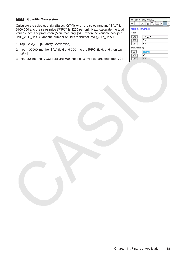### **1114 Quantity Conversion**

Calculate the sales quantity (Sales: [QTY]) when the sales amount ([SAL]) is \$100,000 and the sales price ([PRC]) is \$200 per unit. Next, calculate the total variable costs of production (Manufacturing: [VC]) when the variable cost per unit ([VCU]) is \$30 and the number of units manufactured ([QTY]) is 500.

- 1. Tap [Calc(2)] [Quantity Conversion].
- 2. Input 100000 into the [SAL] field and 200 into the [PRC] field, and then tap [QTY].
- 3. Input 30 into the [VCU] field and 500 into the [QTY] field, and then tap [VC].

| $\Leftrightarrow$ Edit Calc $(1)$ Calc $(2)$ |                      |  |  |  |  |  |  |  |
|----------------------------------------------|----------------------|--|--|--|--|--|--|--|
|                                              | H<br>lin<br>中        |  |  |  |  |  |  |  |
| Quantity Conversion<br>Sales                 |                      |  |  |  |  |  |  |  |
| SAL<br>PRC<br>QTY                            | 100000<br>200<br>500 |  |  |  |  |  |  |  |
| Manufacturing                                |                      |  |  |  |  |  |  |  |
| VC<br>VCU<br>QT                              | 15000<br>30<br>500   |  |  |  |  |  |  |  |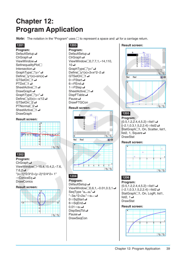## <span id="page-38-0"></span>**Chapter 12: Program Application**

**Note:** The notation in the "Program" uses  $\Box$  to represent a space and  $\Box$  for a carriage return.

### **1201**

**Program:** DefaultSetup<sup>1</sup> ClrGraph\_ ViewWindow\_ SetInequalityPlot<sup>-</sup> Intersection\_ GraphType<sup>[1]</sup>"y>" Define $\Box$ y1(x)=sin(x) $\Box$ GTSelOn<sub>o</sub>1  $PTDot[] 1 \rightarrow$ SheetActive<sup>1</sup> DrawGraph **←** GraphType<sup>[1</sup>"y<" Define<sup>[[</sup>y2(x)=-x/12 GTSelOn<sub>2</sub>  $PTNormal2 \rightarrow$ SheetActive<sup>1</sup> **DrawGraph** 

### **Result screen:**

|  | 4 | У |  |  |  |  |
|--|---|---|--|--|--|--|
|  |   |   |  |  |  |  |
|  | я |   |  |  |  |  |
|  | s |   |  |  |  |  |
|  |   |   |  |  |  |  |
|  |   |   |  |  |  |  |
|  |   |   |  |  |  |  |
|  |   |   |  |  |  |  |
|  | с |   |  |  |  |  |
|  |   |   |  |  |  |  |
|  | е |   |  |  |  |  |
|  |   |   |  |  |  |  |
|  |   |   |  |  |  |  |
|  |   |   |  |  |  |  |

### **1202**

**Program:** ClrGraph\_ ViewWindow□-15.4,15.4,2,-7.6,  $7.6.2 \triangleleft$ "(x–1)^2/3^2+(y–2)^2/4^2= 1" ⇒ConicsEq **→ DrawConics** 

### **Result screen:**



### **1203**

**Program:** DefaultSetup < ClrGraph\_ ViewWindow-0,7.7,1,–14,110,  $10\rightarrow$ GraphType<sup>[1</sup>"y=" Define $\Box$ y1(x)=3×x^2-2 GTSelOn<sup>-1</sup>  $0 \Rightarrow$ FStart $\Box$  $6 \Rightarrow$ FEnd $\triangleleft$  $1 \Rightarrow F$ Step SheetActive<sup>1</sup> DispFTable\_ Pause\_ **DrawFTGCon** 

### **Result screen:**



### **1204**

**Program:** DefaultSetup<sup>4</sup> ViewWindow<sup>1</sup>0,6,1,–0.01,0.3,1 SeqType  $"a_{n+1}a_0"$ "−3a<sub>n</sub>^2+2a<sub>n</sub>"⇒a<sub>n+1</sub> 0⇒SqStart <  $6 \Rightarrow$ SqEnd  $0.01 \Rightarrow a_0 \triangleleft$ DispSeqTbl\_ Pause\_ **DrawSeqCon** 

### **Result screen:**



### **1205**

**Program:**  ${0.5, 1.2, 2.4, 4, 5.2}$  $\Rightarrow$ list1  $\{-2.1, 0.3, 1.5, 2, 2.4\} \Rightarrow$ list2 StatGraph<sup>1</sup>, On, Scatter, list1, list2, 1, Square $\leftarrow$ **DrawStat** 

### **Result screen:**



### **1206**

**Program:**  ${0.5, 1.2, 2.4, 4, 5.2}$  $\{-2.1, 0.3, 1.5, 2, 2.4\}$  $\Rightarrow$ list2 $\leftrightarrow$ StatGraph□1, On, LogR, list1, list2,  $1\overline{4}$ **DrawStat** 

### **Result screen:**

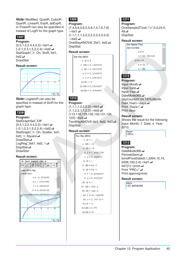*Note:* MedMed, QuadR, CubicR, QuartR, LinearR, ExpR, abExpR, or PowerR can also be specified in instead of LogR for the graph type.

### **1207**

**Program:**

 ${0.5, 1.2, 2.4, 4, 5.2}$  $\Rightarrow$ list1  $\{-2.1, 0.3, 1.5, 2, 2.4\}$  $\Rightarrow$ list2 StatGraph□1, On, SinR, list1,  $list2$ DrawStat

#### **Result screen:**



*Note:* LogisticR can also be specified in instead of SinR for the graph type.

### **1208**

#### **Program:**

StatGraphSel<sup></sub>Off</sup>  ${0.5, 1.2, 2.4, 4, 5.2}$  $\Rightarrow$ list1  $\{-2.1, 0.3, 1.5, 2, 2.4\}$  $\Rightarrow$ list2 StatGraph□1, On, Scatter, list1, list2, 1, Square $\leftarrow$ DrawStat **→** LogReg<sup>[1</sup>list1, list2, 1 DispStat **← DrawStat** 

### **Result screen:**



### **1209**

**Program:**

 ${7,4,6,6,5,6,5,5,8,7,4,7,6,7,6}$  $\Rightarrow$ list1 {1,1,1,1,1,2,2,2,2,2,3,3,3,3,3}  $\Rightarrow$ list2 $\rightarrow$ OneWayANOVA<sub>Ilist1</sub>, list2 **DispStat** 

#### **Result screen:**

One-Way ANOVA A  $df = 4$ A  $MS = 0.1458333$  $A$  SS = 0.5833333 A  $F = 0.1548673$ A  $p = 0.9563931$  $Findf = 10$  $ErrMS = 0.9416667$  $ErrSS = 9.4166667$ 

### **1210**

**Program:**  ${1,1,1,1,2,2,2,2} \implies$ list1  ${1,1,2,2,1,1,2,2}$  $\Rightarrow$ list2 {113,116,139,132,133,131,126, 122} $\Rightarrow$ list3 TwoWavANOVA list1, list2, list3 **DispStat** 

### **Result screen:**

```
Two-Way ANOVA
A df = 1A MS = 18A SS = 18A F = 1.8461538A p = 0.245802B \text{ df} = 1B MS = 84.5
R SS = 84.5
 B F = 8.6666667B_p = 0.042224AB \text{ df} = 1AB MS = 420.5AB SS = 420.5AB F = 43.128205AB p = 2.7817E-3Errdf = 4ErrMS = 9.75ErrSS = 39
```
### **1211**

**Program:** OneSampleZTest<sup>[1"</sup>≠",0,3,24.5,  $48\biguplus$ **DispStat** 

### **Result screen:**



### **1212**

**Program:** Input Month\_ Input Date\_ Input Year\_ DateMode365 **←** dayCount(07,04,1976,Month, Date, Year) $\Rightarrow$ days $\leftrightarrow$ Print "Days=" Print days

### **Result screen:**

Shows the result for the following input: Month: 7, Date: 4, Year: 2013.

Days= 13514

### **1213**

**Program:** DateMode360 **←** PeriodsSemi\_ bondPriceDate(6,1,2004,12,15, 2006,100,3,4)⇒list1  $\rightarrow$ list1[1] $\Rightarrow$ price Print "PRC=" $\rightarrow$ Print approx(price)

### **Result screen:**

 $PRC =$ -97.60735355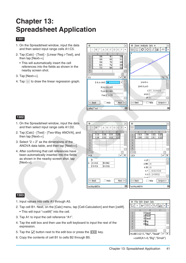### <span id="page-40-0"></span>**Chapter 13: Spreadsheet Application**

### **1301**

- 1. On the Spreadsheet window, input the data and then select input range cells A1:C5.
- 2. Tap [Calc] [Test] [Linear Reg *t*-Test], and then tap [Next>>].
	- This will automatically insert the cell references into the fields as shown in the nearby screen shot.
- 3. Tap [Next>>].
- 4. Tap  $\overline{\mathbb{H}}$  to draw the linear regression graph.



### **1302**

- 1. On the Spreadsheet window, input the data and then select input range cells A1:D2.
- 2. Tap [Calc] [Test] [Two-Way ANOVA], and then tap [Next>>].
- 3. Select " $2 \times 2$ " as the dimensions of the ANOVA data table, and then tap [Next>>].
- 4. After confirming that cell references have been automatically inserted into the fields as shown in the nearby screen shot, tap [Next>>].



- 1. Input values into cells A1 through A5.
- 2. Tap cell B1. Next, on the [Calc] menu, tap [Cell-Calculation] and then [cellIf]. • This will input "=cellif(" into the cell.
- 3. Tap A1 to input the cell reference "A1".
- 4. Tap the edit box and then use the soft keyboard to input the rest of the expression.
- 5. Tap the  $\overline{\vee}$  button next to the edit box or press the  $\overline{EXE}$  key.
- 6. Copy the contents of cell B1 to cells B2 through B5.  $=$ cellif(A1>5,"Big","Small")

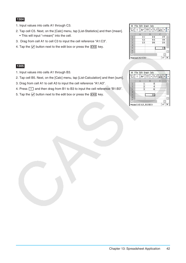- 1. Input values into cells A1 through C3.
- 2. Tap cell C5. Next, on the [Calc] menu, tap [List-Statistics] and then [mean]. • This will input "=mean(" into the cell.
- 3. Drag from cell A1 to cell C3 to input the cell reference "A1:C3".
- 4. Tap the  $\overline{\vee}$  button next to the edit box or press the  $\overline{[EXE]}$  key.

- 1. Input values into cells A1 through B3.
- 2. Tap cell B5. Next, on the [Calc] menu, tap [List-Calculation] and then [sum].
- 3. Drag from cell A1 to cell A3 to input the cell reference "A1:A3".
- 4. Press  $\boxed{\cdot}$  and then drag from B1 to B3 to input the cell reference "B1:B3".
- 5. Tap the  $\overline{\vee}$  button next to the edit box or press the  $\overline{EXE}$  key.

| ۰                    | File Edit Graph Calc |    |   |  |    |    |    |    |  |
|----------------------|----------------------|----|---|--|----|----|----|----|--|
| 0,5<br>$\frac{1}{2}$ | B                    | A/ | ≡ |  |    | ьэ |    |    |  |
|                      | A                    |    | B |  |    |    |    |    |  |
| $\mathbf{1}$         |                      | 11 |   |  | 14 |    | 17 |    |  |
| $\frac{2}{3}$        |                      | 12 |   |  | 15 |    |    | 18 |  |
|                      |                      | 13 |   |  | 16 |    |    | 19 |  |
| $\overline{4}$       |                      |    |   |  |    |    |    |    |  |
| 5                    |                      |    |   |  |    |    |    | 15 |  |
| 6                    |                      |    |   |  |    |    |    |    |  |
|                      |                      |    |   |  |    |    |    |    |  |
| $=$ mean $(A1:C3)$   |                      |    |   |  |    |    |    |    |  |